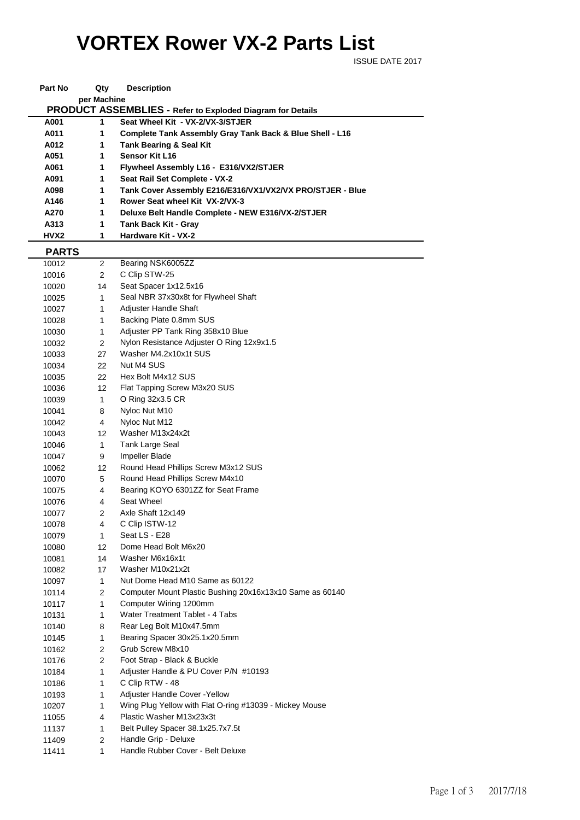## **VORTEX Rower VX-2 Parts List**

ISSUE DATE 2017

| Part No      | Qty            | <b>Description</b>                                         |  |  |  |  |
|--------------|----------------|------------------------------------------------------------|--|--|--|--|
| per Machine  |                |                                                            |  |  |  |  |
|              |                | PRODUCT ASSEMBLIES - Refer to Exploded Diagram for Details |  |  |  |  |
| A001         | 1              | Seat Wheel Kit - VX-2/VX-3/STJER                           |  |  |  |  |
| A011         | 1              | Complete Tank Assembly Gray Tank Back & Blue Shell - L16   |  |  |  |  |
| A012         | 1              | <b>Tank Bearing &amp; Seal Kit</b>                         |  |  |  |  |
| A051         | 1.             | <b>Sensor Kit L16</b>                                      |  |  |  |  |
| A061         | 1              | Flywheel Assembly L16 - E316/VX2/STJER                     |  |  |  |  |
| A091         | 1              | Seat Rail Set Complete - VX-2                              |  |  |  |  |
| A098         | 1              | Tank Cover Assembly E216/E316/VX1/VX2/VX PRO/STJER - Blue  |  |  |  |  |
| A146         | 1              | Rower Seat wheel Kit VX-2/VX-3                             |  |  |  |  |
| A270         | 1              | Deluxe Belt Handle Complete - NEW E316/VX-2/STJER          |  |  |  |  |
| A313         | 1              | Tank Back Kit - Gray                                       |  |  |  |  |
| HVX2         | 1              | Hardware Kit - VX-2                                        |  |  |  |  |
| <b>PARTS</b> |                |                                                            |  |  |  |  |
| 10012        | $\overline{2}$ | Bearing NSK6005ZZ                                          |  |  |  |  |
| 10016        | $\overline{2}$ | C Clip STW-25                                              |  |  |  |  |
| 10020        | 14             | Seat Spacer 1x12.5x16                                      |  |  |  |  |
| 10025        | $\mathbf{1}$   | Seal NBR 37x30x8t for Flywheel Shaft                       |  |  |  |  |
| 10027        | $\mathbf{1}$   | Adjuster Handle Shaft                                      |  |  |  |  |
| 10028        | $\mathbf{1}$   | Backing Plate 0.8mm SUS                                    |  |  |  |  |
| 10030        | $\mathbf{1}$   | Adjuster PP Tank Ring 358x10 Blue                          |  |  |  |  |
| 10032        | 2              | Nylon Resistance Adjuster O Ring 12x9x1.5                  |  |  |  |  |
| 10033        | 27             | Washer M4.2x10x1t SUS                                      |  |  |  |  |
| 10034        | 22             | Nut M4 SUS                                                 |  |  |  |  |
| 10035        | 22             | Hex Bolt M4x12 SUS                                         |  |  |  |  |
| 10036        | 12             | Flat Tapping Screw M3x20 SUS                               |  |  |  |  |
| 10039        | $\mathbf{1}$   | O Ring 32x3.5 CR                                           |  |  |  |  |
| 10041        | 8              | Nyloc Nut M10                                              |  |  |  |  |
| 10042        | $\overline{4}$ | Nyloc Nut M12                                              |  |  |  |  |
| 10043        | 12             | Washer M13x24x2t                                           |  |  |  |  |
| 10046        | $\mathbf{1}$   | Tank Large Seal                                            |  |  |  |  |
| 10047        | 9              | Impeller Blade                                             |  |  |  |  |
| 10062        | 12             | Round Head Phillips Screw M3x12 SUS                        |  |  |  |  |
| 10070        | 5              | Round Head Phillips Screw M4x10                            |  |  |  |  |
| 10075        | 4              | Bearing KOYO 6301ZZ for Seat Frame                         |  |  |  |  |
| 10076        | 4              | Seat Wheel                                                 |  |  |  |  |
| 10077        | $\overline{2}$ | Axle Shaft 12x149                                          |  |  |  |  |
| 10078        | 4              | C Clip ISTW-12                                             |  |  |  |  |
| 10079        | 1              | Seat LS - E28                                              |  |  |  |  |
| 10080        | 12             | Dome Head Bolt M6x20                                       |  |  |  |  |
| 10081        | 14             | Washer M6x16x1t                                            |  |  |  |  |
| 10082        | 17             | Washer M10x21x2t                                           |  |  |  |  |
| 10097        | $\mathbf{1}$   | Nut Dome Head M10 Same as 60122                            |  |  |  |  |
| 10114        | $\overline{2}$ | Computer Mount Plastic Bushing 20x16x13x10 Same as 60140   |  |  |  |  |
| 10117        | 1              | Computer Wiring 1200mm                                     |  |  |  |  |
| 10131        | 1              | Water Treatment Tablet - 4 Tabs                            |  |  |  |  |
| 10140        | 8              | Rear Leg Bolt M10x47.5mm                                   |  |  |  |  |
| 10145        | 1              | Bearing Spacer 30x25.1x20.5mm                              |  |  |  |  |
| 10162        | $\overline{2}$ | Grub Screw M8x10                                           |  |  |  |  |
| 10176        | $\overline{2}$ | Foot Strap - Black & Buckle                                |  |  |  |  |
| 10184        | 1              | Adjuster Handle & PU Cover P/N #10193                      |  |  |  |  |
| 10186        | 1              | C Clip RTW - 48                                            |  |  |  |  |
| 10193        | 1              | Adjuster Handle Cover - Yellow                             |  |  |  |  |
| 10207        | 1              | Wing Plug Yellow with Flat O-ring #13039 - Mickey Mouse    |  |  |  |  |
| 11055        | 4              | Plastic Washer M13x23x3t                                   |  |  |  |  |
| 11137        | $\mathbf{1}$   | Belt Pulley Spacer 38.1x25.7x7.5t                          |  |  |  |  |
| 11409        | $\overline{2}$ | Handle Grip - Deluxe                                       |  |  |  |  |
| 11411        | $\mathbf{1}$   | Handle Rubber Cover - Belt Deluxe                          |  |  |  |  |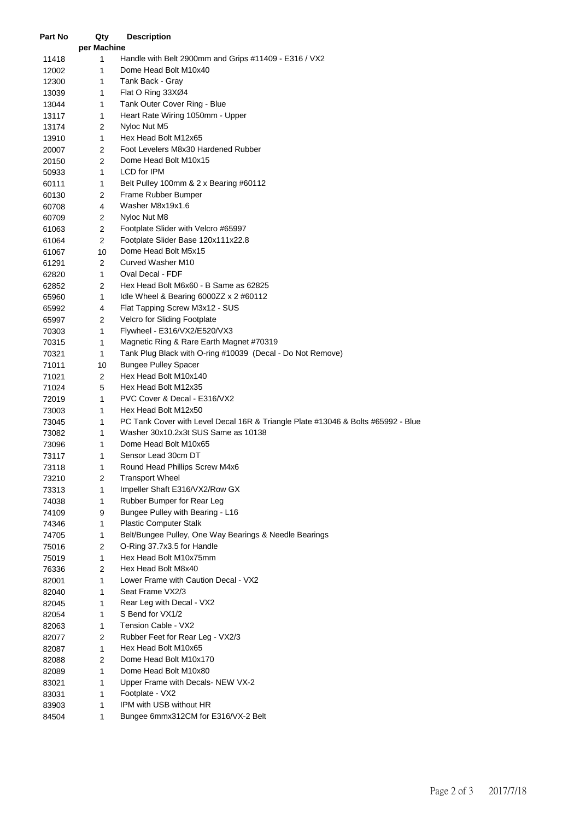| Part No | Qty            | <b>Description</b>                                                               |
|---------|----------------|----------------------------------------------------------------------------------|
|         | per Machine    |                                                                                  |
| 11418   | 1              | Handle with Belt 2900mm and Grips #11409 - E316 / VX2                            |
| 12002   | 1              | Dome Head Bolt M10x40                                                            |
| 12300   | 1              | Tank Back - Gray                                                                 |
| 13039   | 1              | Flat O Ring 33XØ4                                                                |
| 13044   | 1              | Tank Outer Cover Ring - Blue                                                     |
| 13117   | 1              | Heart Rate Wiring 1050mm - Upper                                                 |
| 13174   | $\mathbf{2}$   | Nyloc Nut M5                                                                     |
| 13910   | 1              | Hex Head Bolt M12x65                                                             |
| 20007   | 2              | Foot Levelers M8x30 Hardened Rubber                                              |
| 20150   | $\overline{2}$ | Dome Head Bolt M10x15                                                            |
| 50933   | 1              | LCD for IPM                                                                      |
| 60111   | 1              | Belt Pulley 100mm & 2 x Bearing #60112                                           |
| 60130   | 2              | Frame Rubber Bumper                                                              |
| 60708   | 4              | Washer M8x19x1.6                                                                 |
| 60709   | 2              | Nyloc Nut M8                                                                     |
| 61063   | $\overline{c}$ | Footplate Slider with Velcro #65997                                              |
| 61064   | 2              | Footplate Slider Base 120x111x22.8                                               |
| 61067   | 10             | Dome Head Bolt M5x15                                                             |
| 61291   | $\overline{2}$ | Curved Washer M10                                                                |
| 62820   | $\mathbf{1}$   | Oval Decal - FDF                                                                 |
| 62852   | $\overline{2}$ | Hex Head Bolt M6x60 - B Same as 62825                                            |
| 65960   | 1              | Idle Wheel & Bearing $6000ZZ \times 2 \#60112$                                   |
| 65992   | 4              | Flat Tapping Screw M3x12 - SUS                                                   |
| 65997   | 2              | Velcro for Sliding Footplate                                                     |
| 70303   | 1              | Flywheel - E316/VX2/E520/VX3                                                     |
| 70315   | 1              | Magnetic Ring & Rare Earth Magnet #70319                                         |
| 70321   | 1              | Tank Plug Black with O-ring #10039 (Decal - Do Not Remove)                       |
| 71011   | 10             | <b>Bungee Pulley Spacer</b>                                                      |
| 71021   | $\mathbf{2}$   | Hex Head Bolt M10x140                                                            |
| 71024   | 5              | Hex Head Bolt M12x35                                                             |
| 72019   | 1              | PVC Cover & Decal - E316/VX2                                                     |
| 73003   | 1              | Hex Head Bolt M12x50                                                             |
| 73045   | 1              | PC Tank Cover with Level Decal 16R & Triangle Plate #13046 & Bolts #65992 - Blue |
| 73082   | 1              | Washer 30x10.2x3t SUS Same as 10138                                              |
| 73096   | 1              | Dome Head Bolt M10x65                                                            |
| 73117   | 1              | Sensor Lead 30cm DT                                                              |
| 73118   | 1              | Round Head Phillips Screw M4x6                                                   |
| 73210   | $\overline{c}$ | <b>Transport Wheel</b>                                                           |
| 73313   | 1              | Impeller Shaft E316/VX2/Row GX                                                   |
| 74038   | 1              | Rubber Bumper for Rear Leg                                                       |
| 74109   | 9              | Bungee Pulley with Bearing - L16                                                 |
| 74346   | 1              | <b>Plastic Computer Stalk</b>                                                    |
| 74705   | 1              | Belt/Bungee Pulley, One Way Bearings & Needle Bearings                           |
| 75016   | 2              | O-Ring 37.7x3.5 for Handle                                                       |
| 75019   | $\mathbf{1}$   | Hex Head Bolt M10x75mm                                                           |
| 76336   | $\mathbf{2}$   | Hex Head Bolt M8x40                                                              |
| 82001   | 1              | Lower Frame with Caution Decal - VX2                                             |
| 82040   | 1              | Seat Frame VX2/3                                                                 |
| 82045   | 1              | Rear Leg with Decal - VX2                                                        |
| 82054   | 1              | S Bend for VX1/2                                                                 |
| 82063   | 1              | Tension Cable - VX2                                                              |
| 82077   | $\overline{c}$ | Rubber Feet for Rear Leg - VX2/3                                                 |
| 82087   | $\mathbf{1}$   | Hex Head Bolt M10x65                                                             |
| 82088   | $\overline{c}$ | Dome Head Bolt M10x170                                                           |
| 82089   | 1              | Dome Head Bolt M10x80                                                            |
| 83021   | 1              | Upper Frame with Decals- NEW VX-2                                                |
| 83031   | 1              | Footplate - VX2                                                                  |
| 83903   | 1              | IPM with USB without HR                                                          |
| 84504   | 1              | Bungee 6mmx312CM for E316/VX-2 Belt                                              |
|         |                |                                                                                  |